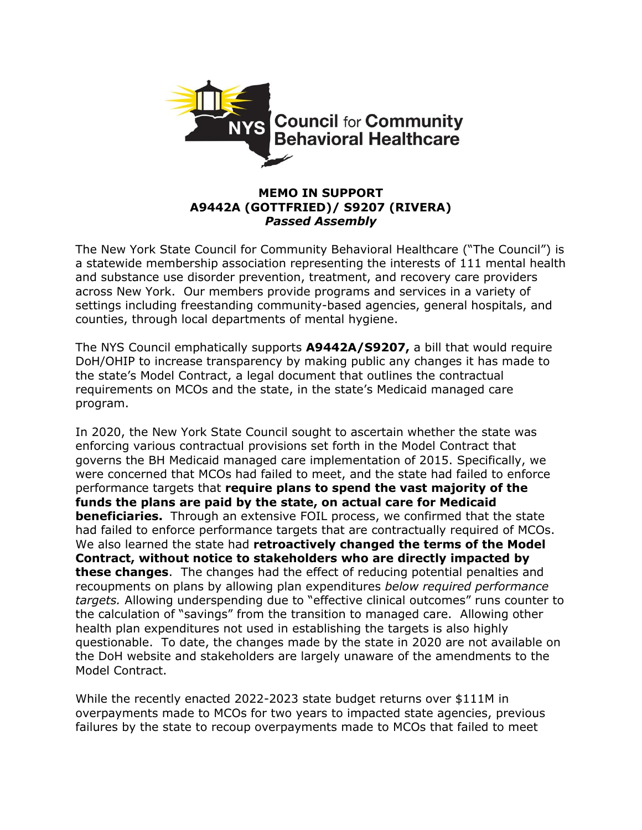

## **MEMO IN SUPPORT A9442A (GOTTFRIED)/ S9207 (RIVERA)** *Passed Assembly*

The New York State Council for Community Behavioral Healthcare ("The Council") is a statewide membership association representing the interests of 111 mental health and substance use disorder prevention, treatment, and recovery care providers across New York. Our members provide programs and services in a variety of settings including freestanding community-based agencies, general hospitals, and counties, through local departments of mental hygiene.

The NYS Council emphatically supports **A9442A/S9207,** a bill that would require DoH/OHIP to increase transparency by making public any changes it has made to the state's Model Contract, a legal document that outlines the contractual requirements on MCOs and the state, in the state's Medicaid managed care program.

In 2020, the New York State Council sought to ascertain whether the state was enforcing various contractual provisions set forth in the Model Contract that governs the BH Medicaid managed care implementation of 2015. Specifically, we were concerned that MCOs had failed to meet, and the state had failed to enforce performance targets that **require plans to spend the vast majority of the funds the plans are paid by the state, on actual care for Medicaid beneficiaries.** Through an extensive FOIL process, we confirmed that the state had failed to enforce performance targets that are contractually required of MCOs. We also learned the state had **retroactively changed the terms of the Model Contract, without notice to stakeholders who are directly impacted by these changes**. The changes had the effect of reducing potential penalties and recoupments on plans by allowing plan expenditures *below required performance targets.* Allowing underspending due to "effective clinical outcomes" runs counter to the calculation of "savings" from the transition to managed care. Allowing other health plan expenditures not used in establishing the targets is also highly questionable. To date, the changes made by the state in 2020 are not available on the DoH website and stakeholders are largely unaware of the amendments to the Model Contract.

While the recently enacted 2022-2023 state budget returns over \$111M in overpayments made to MCOs for two years to impacted state agencies, previous failures by the state to recoup overpayments made to MCOs that failed to meet